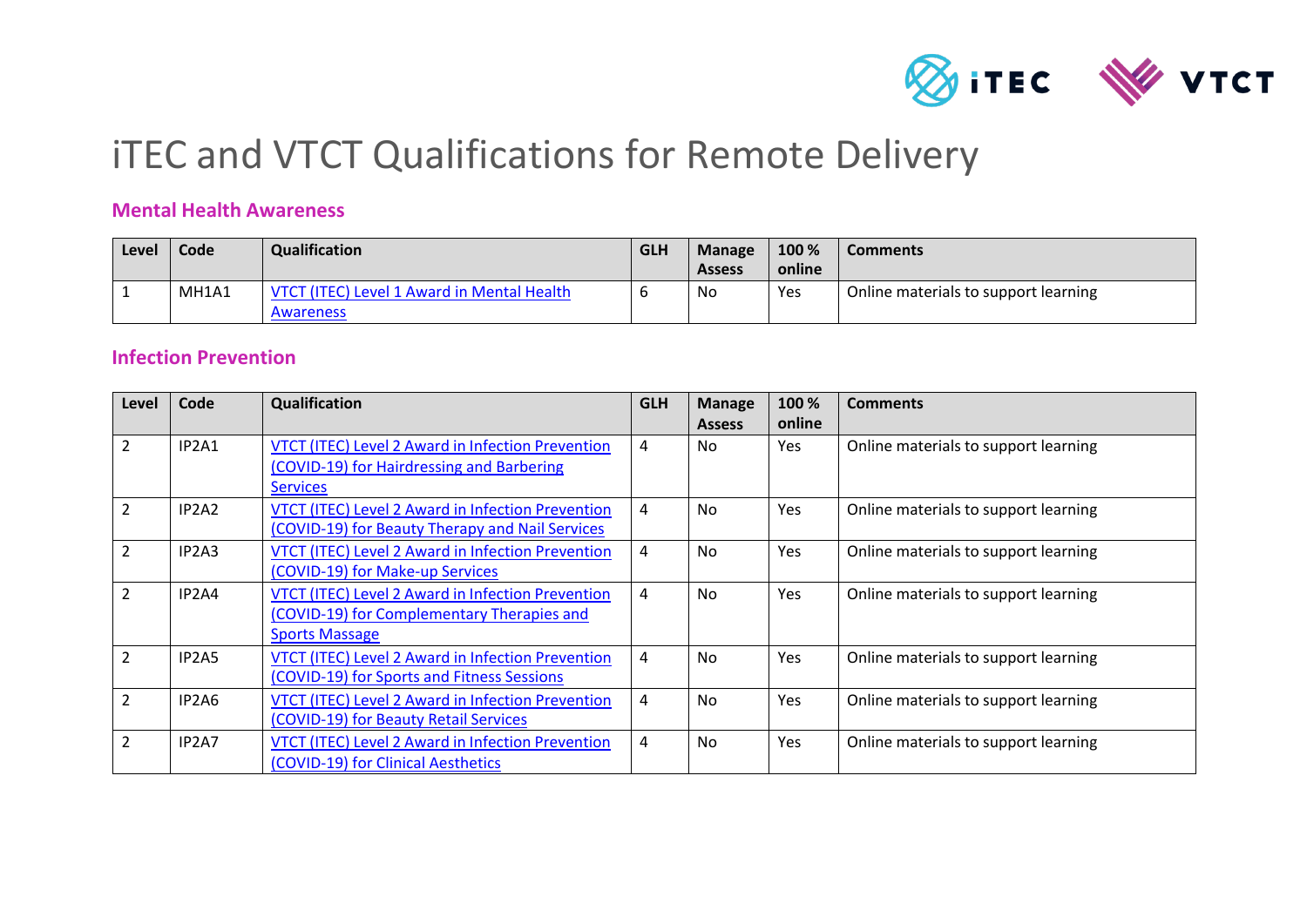

# iTEC and VTCT Qualifications for Remote Delivery

#### **Mental Health Awareness**

| Level | Code  | Qualification                                           | <b>GLH</b> | <b>Manage</b><br><b>Assess</b> | 100 %<br>online | <b>Comments</b>                      |
|-------|-------|---------------------------------------------------------|------------|--------------------------------|-----------------|--------------------------------------|
|       | MH1A1 | VTCT (ITEC) Level 1 Award in Mental Health<br>Awareness |            | No                             | Yes             | Online materials to support learning |

#### **Infection Prevention**

| Level          | Code                           | Qualification                                                                                                            | <b>GLH</b>     | <b>Manage</b><br><b>Assess</b> | 100 %<br>online | <b>Comments</b>                      |
|----------------|--------------------------------|--------------------------------------------------------------------------------------------------------------------------|----------------|--------------------------------|-----------------|--------------------------------------|
| $\overline{2}$ | IP2A1                          | VTCT (ITEC) Level 2 Award in Infection Prevention<br>(COVID-19) for Hairdressing and Barbering<br><b>Services</b>        | 4              | No.                            | <b>Yes</b>      | Online materials to support learning |
| $\overline{2}$ | IP <sub>2</sub> A <sub>2</sub> | VTCT (ITEC) Level 2 Award in Infection Prevention<br>(COVID-19) for Beauty Therapy and Nail Services                     | $\overline{4}$ | <b>No</b>                      | Yes             | Online materials to support learning |
| $\overline{2}$ | IP <sub>2</sub> A <sub>3</sub> | VTCT (ITEC) Level 2 Award in Infection Prevention<br>(COVID-19) for Make-up Services                                     | 4              | No.                            | Yes             | Online materials to support learning |
| $\overline{2}$ | IP2A4                          | VTCT (ITEC) Level 2 Award in Infection Prevention<br>(COVID-19) for Complementary Therapies and<br><b>Sports Massage</b> | $\overline{4}$ | No.                            | Yes             | Online materials to support learning |
| $\overline{2}$ | IP <sub>2</sub> A <sub>5</sub> | VTCT (ITEC) Level 2 Award in Infection Prevention<br>(COVID-19) for Sports and Fitness Sessions                          | $\overline{4}$ | <b>No</b>                      | Yes             | Online materials to support learning |
| $\overline{2}$ | IP2A6                          | <b>VTCT (ITEC) Level 2 Award in Infection Prevention</b><br>(COVID-19) for Beauty Retail Services                        | 4              | No.                            | Yes             | Online materials to support learning |
| $\overline{2}$ | IP <sub>2</sub> A <sub>7</sub> | VTCT (ITEC) Level 2 Award in Infection Prevention<br>(COVID-19) for Clinical Aesthetics                                  | 4              | No.                            | Yes             | Online materials to support learning |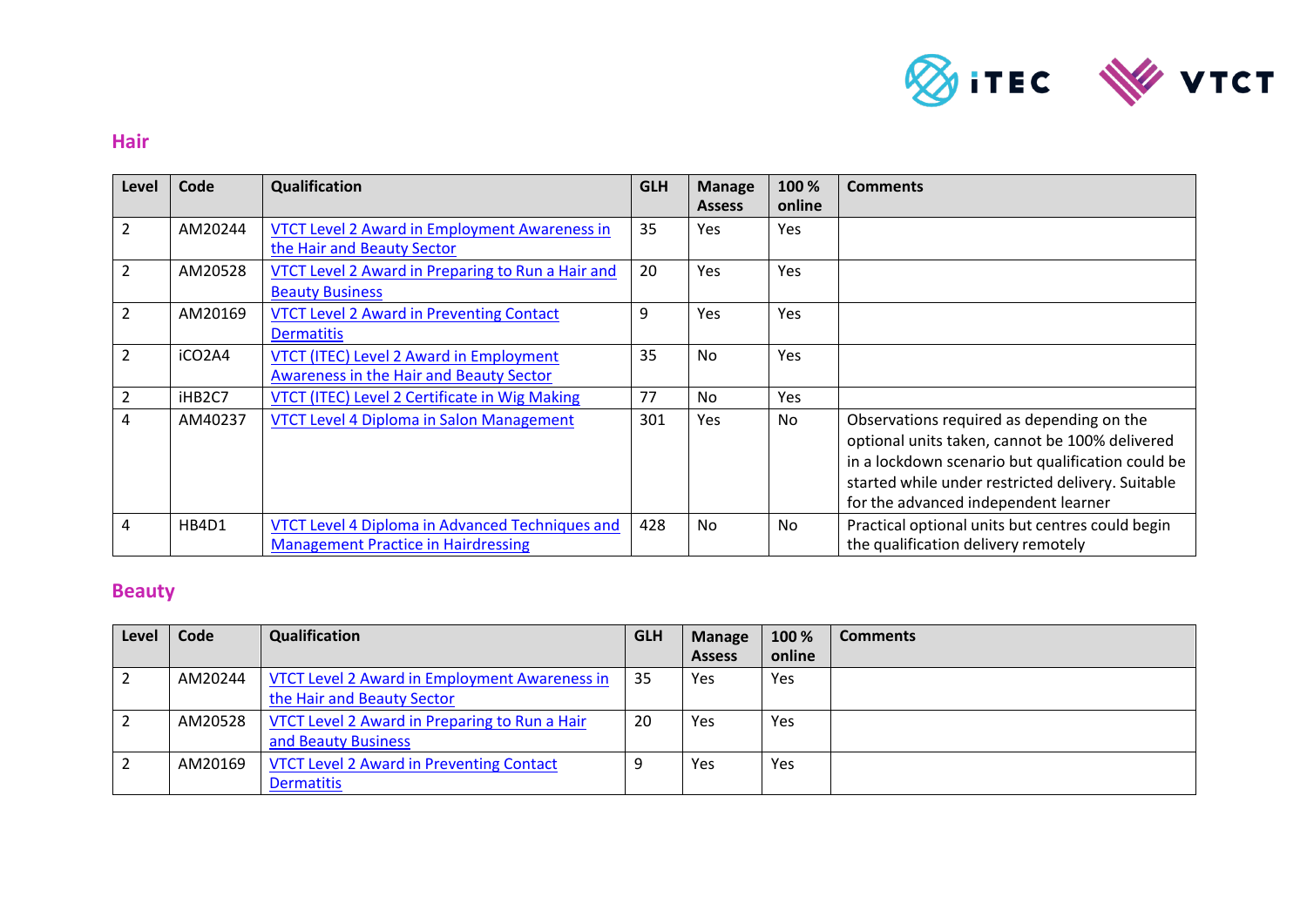

#### **Hair**

| Level          | Code    | Qualification                                                                                 | <b>GLH</b> | <b>Manage</b><br><b>Assess</b> | 100 %<br>online | <b>Comments</b>                                                                                                                                                                                                                               |
|----------------|---------|-----------------------------------------------------------------------------------------------|------------|--------------------------------|-----------------|-----------------------------------------------------------------------------------------------------------------------------------------------------------------------------------------------------------------------------------------------|
| $\overline{2}$ | AM20244 | <b>VTCT Level 2 Award in Employment Awareness in</b><br>the Hair and Beauty Sector            | 35         | <b>Yes</b>                     | Yes             |                                                                                                                                                                                                                                               |
| 2              | AM20528 | VTCT Level 2 Award in Preparing to Run a Hair and<br><b>Beauty Business</b>                   | 20         | Yes.                           | Yes             |                                                                                                                                                                                                                                               |
| 2              | AM20169 | <b>VTCT Level 2 Award in Preventing Contact</b><br><b>Dermatitis</b>                          | 9          | <b>Yes</b>                     | Yes             |                                                                                                                                                                                                                                               |
| 2              | iCO2A4  | <b>VTCT (ITEC) Level 2 Award in Employment</b><br>Awareness in the Hair and Beauty Sector     | 35         | No.                            | Yes             |                                                                                                                                                                                                                                               |
| 2              | iHB2C7  | VTCT (ITEC) Level 2 Certificate in Wig Making                                                 | 77         | No                             | Yes             |                                                                                                                                                                                                                                               |
| 4              | AM40237 | <b>VTCT Level 4 Diploma in Salon Management</b>                                               | 301        | <b>Yes</b>                     | No              | Observations required as depending on the<br>optional units taken, cannot be 100% delivered<br>in a lockdown scenario but qualification could be<br>started while under restricted delivery. Suitable<br>for the advanced independent learner |
| 4              | HB4D1   | VTCT Level 4 Diploma in Advanced Techniques and<br><b>Management Practice in Hairdressing</b> | 428        | No                             | No              | Practical optional units but centres could begin<br>the qualification delivery remotely                                                                                                                                                       |

## **Beauty**

| Level | Code    | Qualification                                                                      | <b>GLH</b> | <b>Manage</b> | 100 %  | Comments |
|-------|---------|------------------------------------------------------------------------------------|------------|---------------|--------|----------|
|       |         |                                                                                    |            | <b>Assess</b> | online |          |
|       | AM20244 | <b>VTCT Level 2 Award in Employment Awareness in</b><br>the Hair and Beauty Sector | -35        | Yes           | Yes    |          |
|       | AM20528 | VTCT Level 2 Award in Preparing to Run a Hair<br>and Beauty Business               | 20         | Yes           | Yes    |          |
|       | AM20169 | <b>VTCT Level 2 Award in Preventing Contact</b><br><b>Dermatitis</b>               |            | Yes           | Yes    |          |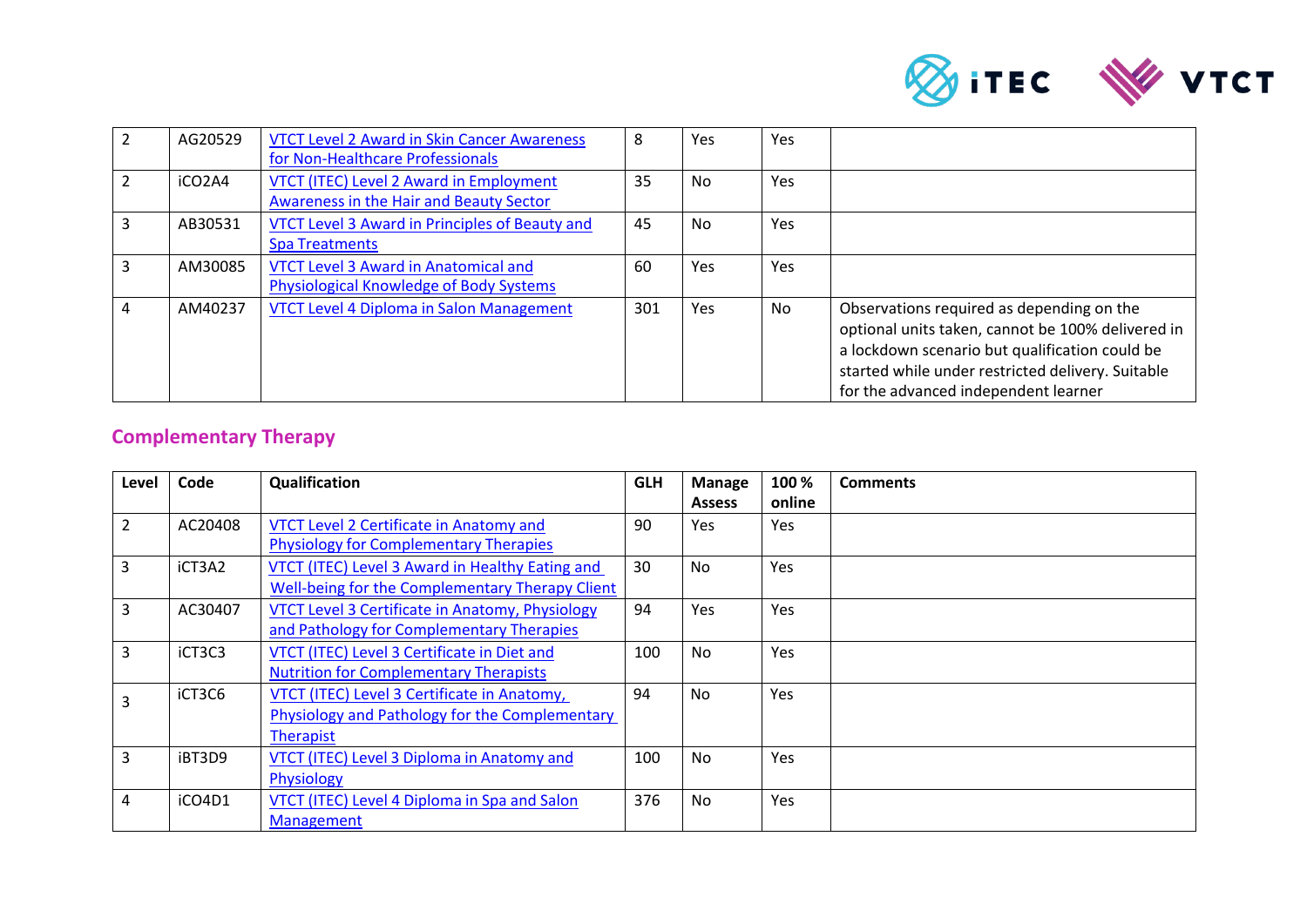

| AG20529 | <b>VTCT Level 2 Award in Skin Cancer Awareness</b><br>for Non-Healthcare Professionals    | 8   | Yes | Yes |                                                                                                                                                                                                                                               |
|---------|-------------------------------------------------------------------------------------------|-----|-----|-----|-----------------------------------------------------------------------------------------------------------------------------------------------------------------------------------------------------------------------------------------------|
| iCO2A4  | <b>VTCT (ITEC) Level 2 Award in Employment</b><br>Awareness in the Hair and Beauty Sector | 35  | No. | Yes |                                                                                                                                                                                                                                               |
| AB30531 | <b>VTCT Level 3 Award in Principles of Beauty and</b><br><b>Spa Treatments</b>            | 45  | No. | Yes |                                                                                                                                                                                                                                               |
| AM30085 | <b>VTCT Level 3 Award in Anatomical and</b><br>Physiological Knowledge of Body Systems    | 60  | Yes | Yes |                                                                                                                                                                                                                                               |
| AM40237 | <b>VTCT Level 4 Diploma in Salon Management</b>                                           | 301 | Yes | No  | Observations required as depending on the<br>optional units taken, cannot be 100% delivered in<br>a lockdown scenario but qualification could be<br>started while under restricted delivery. Suitable<br>for the advanced independent learner |

## **Complementary Therapy**

| Level          | Code    | Qualification                                                                                                     | <b>GLH</b> | <b>Manage</b><br><b>Assess</b> | 100 %<br>online | <b>Comments</b> |
|----------------|---------|-------------------------------------------------------------------------------------------------------------------|------------|--------------------------------|-----------------|-----------------|
| $\overline{2}$ | AC20408 | VTCT Level 2 Certificate in Anatomy and<br><b>Physiology for Complementary Therapies</b>                          | 90         | <b>Yes</b>                     | Yes             |                 |
| 3              | iCT3A2  | VTCT (ITEC) Level 3 Award in Healthy Eating and<br>Well-being for the Complementary Therapy Client                | 30         | <b>No</b>                      | <b>Yes</b>      |                 |
| 3              | AC30407 | VTCT Level 3 Certificate in Anatomy, Physiology<br>and Pathology for Complementary Therapies                      | 94         | Yes                            | Yes             |                 |
| 3              | iCT3C3  | VTCT (ITEC) Level 3 Certificate in Diet and<br><b>Nutrition for Complementary Therapists</b>                      | 100        | <b>No</b>                      | <b>Yes</b>      |                 |
| $\overline{3}$ | iCT3C6  | VTCT (ITEC) Level 3 Certificate in Anatomy,<br>Physiology and Pathology for the Complementary<br><b>Therapist</b> | 94         | <b>No</b>                      | <b>Yes</b>      |                 |
| 3              | iBT3D9  | VTCT (ITEC) Level 3 Diploma in Anatomy and<br>Physiology                                                          | 100        | <b>No</b>                      | <b>Yes</b>      |                 |
| 4              | iCO4D1  | VTCT (ITEC) Level 4 Diploma in Spa and Salon<br><b>Management</b>                                                 | 376        | No                             | <b>Yes</b>      |                 |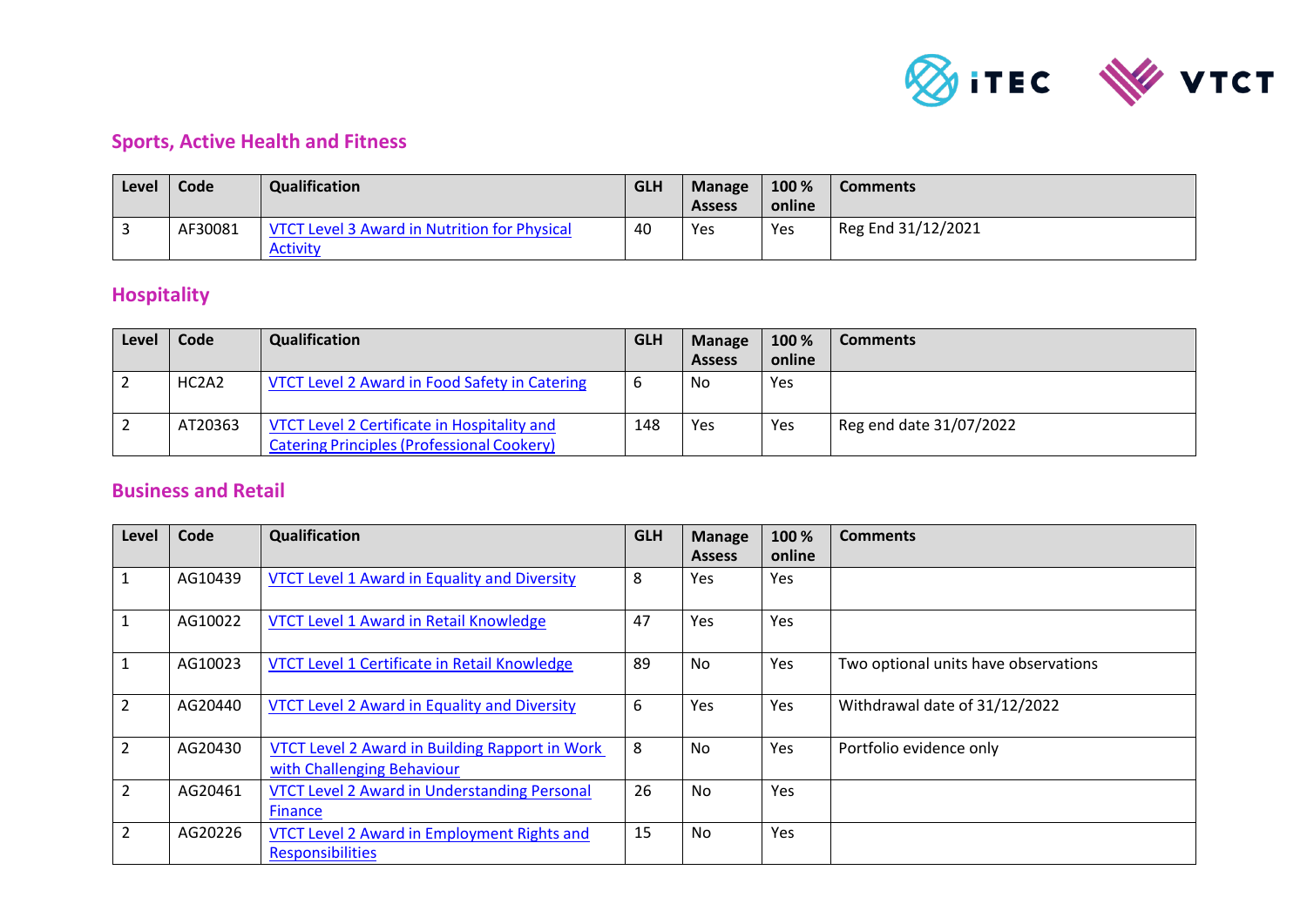

## **Sports, Active Health and Fitness**

| Level | Code    | Qualification                                                   | <b>GLH</b> | <b>Manage</b><br><b>Assess</b> | 100 %<br>online | <b>Comments</b>    |
|-------|---------|-----------------------------------------------------------------|------------|--------------------------------|-----------------|--------------------|
|       | AF30081 | VTCT Level 3 Award in Nutrition for Physical<br><b>Activity</b> | 40         | Yes                            | Yes             | Reg End 31/12/2021 |

## **Hospitality**

| Level | <b>Code</b> | Qualification                                                                                    | <b>GLH</b> | <b>Manage</b> | 100 %  | <b>Comments</b>         |
|-------|-------------|--------------------------------------------------------------------------------------------------|------------|---------------|--------|-------------------------|
|       |             |                                                                                                  |            | <b>Assess</b> | online |                         |
|       | HC2A2       | VTCT Level 2 Award in Food Safety in Catering                                                    |            | No            | Yes    |                         |
|       | AT20363     | VTCT Level 2 Certificate in Hospitality and<br><b>Catering Principles (Professional Cookery)</b> | 148        | Yes           | Yes    | Reg end date 31/07/2022 |

## **Business and Retail**

| Level          | Code    | Qualification                                                                | <b>GLH</b> | <b>Manage</b><br><b>Assess</b> | 100 %<br>online | <b>Comments</b>                      |
|----------------|---------|------------------------------------------------------------------------------|------------|--------------------------------|-----------------|--------------------------------------|
| $\mathbf{1}$   | AG10439 | <b>VTCT Level 1 Award in Equality and Diversity</b>                          | 8          | <b>Yes</b>                     | Yes             |                                      |
| $\mathbf 1$    | AG10022 | VTCT Level 1 Award in Retail Knowledge                                       | 47         | Yes                            | Yes             |                                      |
| $\mathbf{1}$   | AG10023 | VTCT Level 1 Certificate in Retail Knowledge                                 | 89         | <b>No</b>                      | Yes             | Two optional units have observations |
| $\overline{2}$ | AG20440 | <b>VTCT Level 2 Award in Equality and Diversity</b>                          | 6          | Yes                            | Yes             | Withdrawal date of 31/12/2022        |
| $\overline{2}$ | AG20430 | VTCT Level 2 Award in Building Rapport in Work<br>with Challenging Behaviour | 8          | <b>No</b>                      | Yes             | Portfolio evidence only              |
| $\overline{2}$ | AG20461 | <b>VTCT Level 2 Award in Understanding Personal</b><br>Finance               | 26         | No                             | Yes             |                                      |
| $\overline{2}$ | AG20226 | VTCT Level 2 Award in Employment Rights and<br><b>Responsibilities</b>       | 15         | No                             | Yes             |                                      |